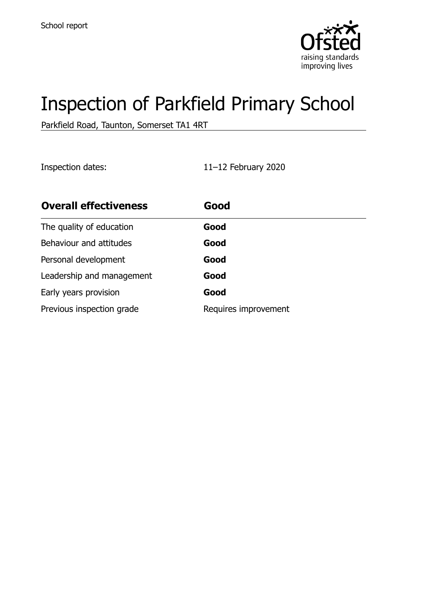

# Inspection of Parkfield Primary School

Parkfield Road, Taunton, Somerset TA1 4RT

Inspection dates: 11–12 February 2020

| <b>Overall effectiveness</b> | Good                 |
|------------------------------|----------------------|
| The quality of education     | Good                 |
| Behaviour and attitudes      | Good                 |
| Personal development         | Good                 |
| Leadership and management    | Good                 |
| Early years provision        | Good                 |
| Previous inspection grade    | Requires improvement |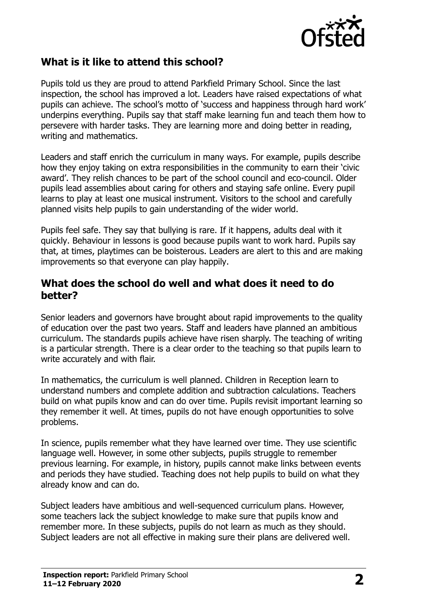

### **What is it like to attend this school?**

Pupils told us they are proud to attend Parkfield Primary School. Since the last inspection, the school has improved a lot. Leaders have raised expectations of what pupils can achieve. The school's motto of 'success and happiness through hard work' underpins everything. Pupils say that staff make learning fun and teach them how to persevere with harder tasks. They are learning more and doing better in reading, writing and mathematics.

Leaders and staff enrich the curriculum in many ways. For example, pupils describe how they enjoy taking on extra responsibilities in the community to earn their 'civic award'. They relish chances to be part of the school council and eco-council. Older pupils lead assemblies about caring for others and staying safe online. Every pupil learns to play at least one musical instrument. Visitors to the school and carefully planned visits help pupils to gain understanding of the wider world.

Pupils feel safe. They say that bullying is rare. If it happens, adults deal with it quickly. Behaviour in lessons is good because pupils want to work hard. Pupils say that, at times, playtimes can be boisterous. Leaders are alert to this and are making improvements so that everyone can play happily.

#### **What does the school do well and what does it need to do better?**

Senior leaders and governors have brought about rapid improvements to the quality of education over the past two years. Staff and leaders have planned an ambitious curriculum. The standards pupils achieve have risen sharply. The teaching of writing is a particular strength. There is a clear order to the teaching so that pupils learn to write accurately and with flair.

In mathematics, the curriculum is well planned. Children in Reception learn to understand numbers and complete addition and subtraction calculations. Teachers build on what pupils know and can do over time. Pupils revisit important learning so they remember it well. At times, pupils do not have enough opportunities to solve problems.

In science, pupils remember what they have learned over time. They use scientific language well. However, in some other subjects, pupils struggle to remember previous learning. For example, in history, pupils cannot make links between events and periods they have studied. Teaching does not help pupils to build on what they already know and can do.

Subject leaders have ambitious and well-sequenced curriculum plans. However, some teachers lack the subject knowledge to make sure that pupils know and remember more. In these subjects, pupils do not learn as much as they should. Subject leaders are not all effective in making sure their plans are delivered well.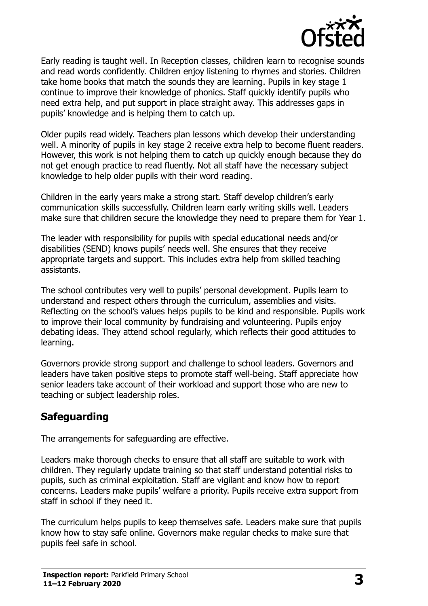

Early reading is taught well. In Reception classes, children learn to recognise sounds and read words confidently. Children enjoy listening to rhymes and stories. Children take home books that match the sounds they are learning. Pupils in key stage 1 continue to improve their knowledge of phonics. Staff quickly identify pupils who need extra help, and put support in place straight away. This addresses gaps in pupils' knowledge and is helping them to catch up.

Older pupils read widely. Teachers plan lessons which develop their understanding well. A minority of pupils in key stage 2 receive extra help to become fluent readers. However, this work is not helping them to catch up quickly enough because they do not get enough practice to read fluently. Not all staff have the necessary subject knowledge to help older pupils with their word reading.

Children in the early years make a strong start. Staff develop children's early communication skills successfully. Children learn early writing skills well. Leaders make sure that children secure the knowledge they need to prepare them for Year 1.

The leader with responsibility for pupils with special educational needs and/or disabilities (SEND) knows pupils' needs well. She ensures that they receive appropriate targets and support. This includes extra help from skilled teaching assistants.

The school contributes very well to pupils' personal development. Pupils learn to understand and respect others through the curriculum, assemblies and visits. Reflecting on the school's values helps pupils to be kind and responsible. Pupils work to improve their local community by fundraising and volunteering. Pupils enjoy debating ideas. They attend school regularly, which reflects their good attitudes to learning.

Governors provide strong support and challenge to school leaders. Governors and leaders have taken positive steps to promote staff well-being. Staff appreciate how senior leaders take account of their workload and support those who are new to teaching or subject leadership roles.

## **Safeguarding**

The arrangements for safeguarding are effective.

Leaders make thorough checks to ensure that all staff are suitable to work with children. They regularly update training so that staff understand potential risks to pupils, such as criminal exploitation. Staff are vigilant and know how to report concerns. Leaders make pupils' welfare a priority. Pupils receive extra support from staff in school if they need it.

The curriculum helps pupils to keep themselves safe. Leaders make sure that pupils know how to stay safe online. Governors make regular checks to make sure that pupils feel safe in school.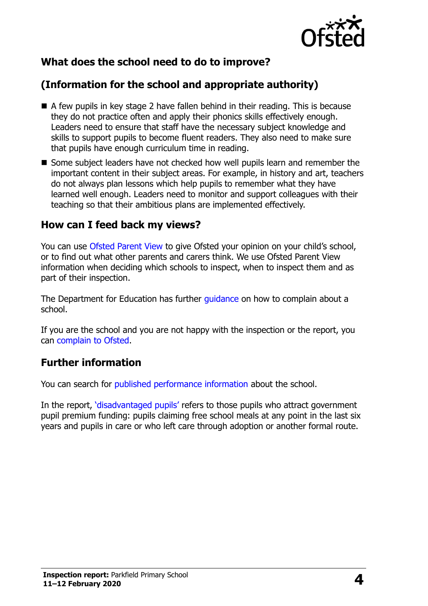

## **What does the school need to do to improve?**

## **(Information for the school and appropriate authority)**

- A few pupils in key stage 2 have fallen behind in their reading. This is because they do not practice often and apply their phonics skills effectively enough. Leaders need to ensure that staff have the necessary subject knowledge and skills to support pupils to become fluent readers. They also need to make sure that pupils have enough curriculum time in reading.
- Some subject leaders have not checked how well pupils learn and remember the important content in their subject areas. For example, in history and art, teachers do not always plan lessons which help pupils to remember what they have learned well enough. Leaders need to monitor and support colleagues with their teaching so that their ambitious plans are implemented effectively.

#### **How can I feed back my views?**

You can use [Ofsted Parent View](http://parentview.ofsted.gov.uk/) to give Ofsted your opinion on your child's school, or to find out what other parents and carers think. We use Ofsted Parent View information when deciding which schools to inspect, when to inspect them and as part of their inspection.

The Department for Education has further quidance on how to complain about a school.

If you are the school and you are not happy with the inspection or the report, you can [complain to Ofsted.](http://www.gov.uk/complain-ofsted-report)

### **Further information**

You can search for [published performance information](http://www.compare-school-performance.service.gov.uk/) about the school.

In the report, '[disadvantaged pupils](http://www.gov.uk/guidance/pupil-premium-information-for-schools-and-alternative-provision-settings)' refers to those pupils who attract government pupil premium funding: pupils claiming free school meals at any point in the last six years and pupils in care or who left care through adoption or another formal route.

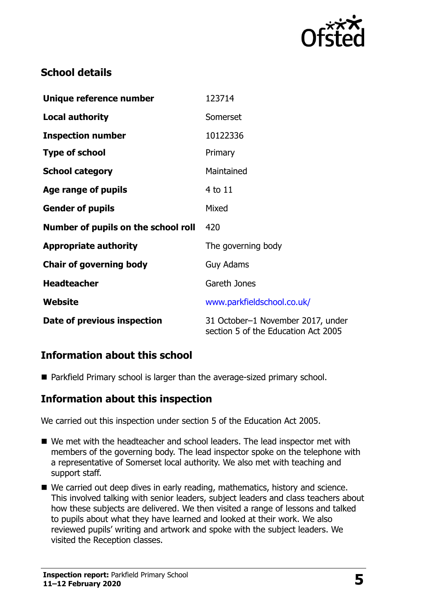

## **School details**

| Unique reference number             | 123714                                                                   |  |
|-------------------------------------|--------------------------------------------------------------------------|--|
| <b>Local authority</b>              | Somerset                                                                 |  |
| <b>Inspection number</b>            | 10122336                                                                 |  |
| <b>Type of school</b>               | Primary                                                                  |  |
| <b>School category</b>              | Maintained                                                               |  |
| Age range of pupils                 | 4 to 11                                                                  |  |
| <b>Gender of pupils</b>             | Mixed                                                                    |  |
| Number of pupils on the school roll | 420                                                                      |  |
| <b>Appropriate authority</b>        | The governing body                                                       |  |
| <b>Chair of governing body</b>      | <b>Guy Adams</b>                                                         |  |
| <b>Headteacher</b>                  | Gareth Jones                                                             |  |
| Website                             | www.parkfieldschool.co.uk/                                               |  |
| Date of previous inspection         | 31 October-1 November 2017, under<br>section 5 of the Education Act 2005 |  |

## **Information about this school**

■ Parkfield Primary school is larger than the average-sized primary school.

### **Information about this inspection**

We carried out this inspection under section 5 of the Education Act 2005.

- We met with the headteacher and school leaders. The lead inspector met with members of the governing body. The lead inspector spoke on the telephone with a representative of Somerset local authority. We also met with teaching and support staff.
- We carried out deep dives in early reading, mathematics, history and science. This involved talking with senior leaders, subject leaders and class teachers about how these subjects are delivered. We then visited a range of lessons and talked to pupils about what they have learned and looked at their work. We also reviewed pupils' writing and artwork and spoke with the subject leaders. We visited the Reception classes.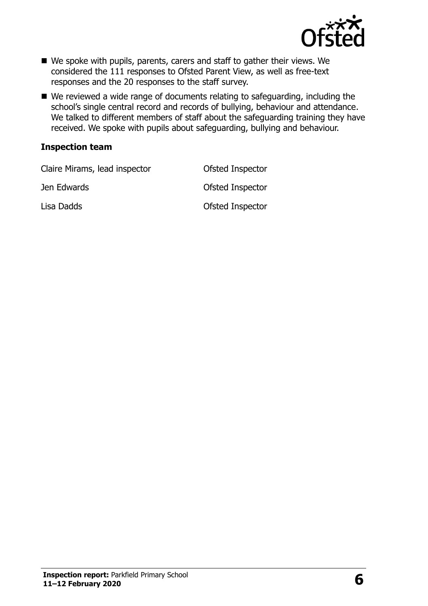

- We spoke with pupils, parents, carers and staff to gather their views. We considered the 111 responses to Ofsted Parent View, as well as free-text responses and the 20 responses to the staff survey.
- We reviewed a wide range of documents relating to safeguarding, including the school's single central record and records of bullying, behaviour and attendance. We talked to different members of staff about the safeguarding training they have received. We spoke with pupils about safeguarding, bullying and behaviour.

#### **Inspection team**

| Claire Mirams, lead inspector | Ofsted Inspector |
|-------------------------------|------------------|
| Jen Edwards                   | Ofsted Inspector |
| Lisa Dadds                    | Ofsted Inspector |